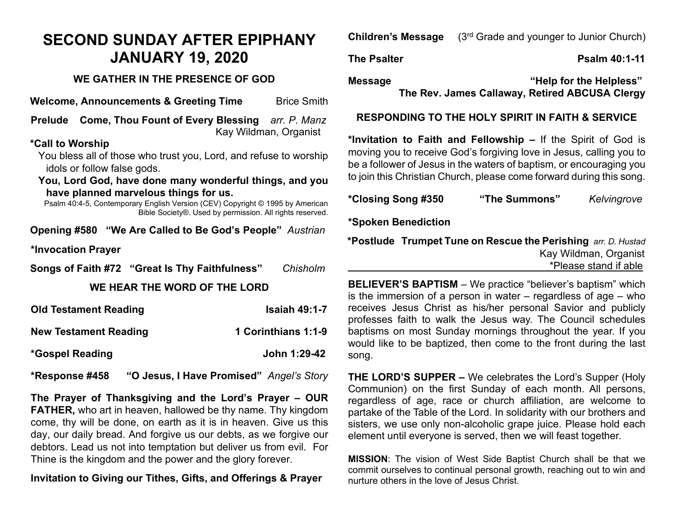## **SECOND SUNDAY AFTER EPIPHANY JANUARY 19, 2020**

#### **WE GATHER IN THE PRESENCE OF GOD**

**Welcome, Announcements & Greeting Time** Brice Smith

**Prelude Come, Thou Fount of Every Blessing** *arr. P. Manz* Kay Wildman, Organist

#### **\*Call to Worship**

You bless all of those who trust you, Lord, and refuse to worship idols or follow false gods.

**You, Lord God, have done many wonderful things, and you have planned marvelous things for us.**

Psalm 40:4-5, Contemporary English Version (CEV) Copyright © 1995 by American Bible Society®. Used by permission. All rights reserved.

**Opening #580 "We Are Called to Be God's People"** *Austrian*

**\*Invocation Prayer** 

**Songs of Faith #72 "Great Is Thy Faithfulness"** *Chisholm*

#### **WE HEAR THE WORD OF THE LORD**

| <b>Old Testament Reading</b> | <b>Isaiah 49:1-7</b> |
|------------------------------|----------------------|
| <b>New Testament Reading</b> | 1 Corinthians 1:1-9  |
| <i>*</i> Gospel Reading      | John 1:29-42         |

**\*Response #458 "O Jesus, I Have Promised"** *Angel's Story*

**The Prayer of Thanksgiving and the Lord's Prayer – OUR FATHER,** who art in heaven, hallowed be thy name. Thy kingdom come, thy will be done, on earth as it is in heaven. Give us this day, our daily bread. And forgive us our debts, as we forgive our debtors. Lead us not into temptation but deliver us from evil. For Thine is the kingdom and the power and the glory forever.

**Invitation to Giving our Tithes, Gifts, and Offerings & Prayer**

**Children's Message** (3rd Grade and younger to Junior Church)

### **The Psalter Community Community Community Psalm 40:1-11**

**Message "Help for the Helpless" The Rev. James Callaway, Retired ABCUSA Clergy**

#### **RESPONDING TO THE HOLY SPIRIT IN FAITH & SERVICE**

**\*Invitation to Faith and Fellowship –** If the Spirit of God is moving you to receive God's forgiving love in Jesus, calling you to be a follower of Jesus in the waters of baptism, or encouraging you to join this Christian Church, please come forward during this song.

**\*Closing Song #350 "The Summons"** *Kelvingrove*

**\*Spoken Benediction**

**\*Postlude Trumpet Tune on Rescue the Perishing** *arr. D. Hustad*Kay Wildman, Organist \*Please stand if able

**BELIEVER'S BAPTISM** – We practice "believer's baptism" which is the immersion of a person in water – regardless of age – who receives Jesus Christ as his/her personal Savior and publicly professes faith to walk the Jesus way. The Council schedules baptisms on most Sunday mornings throughout the year. If you would like to be baptized, then come to the front during the last song.

**THE LORD'S SUPPER –** We celebrates the Lord's Supper (Holy Communion) on the first Sunday of each month. All persons, regardless of age, race or church affiliation, are welcome to partake of the Table of the Lord. In solidarity with our brothers and sisters, we use only non-alcoholic grape juice. Please hold each element until everyone is served, then we will feast together.

**MISSION**: The vision of West Side Baptist Church shall be that we commit ourselves to continual personal growth, reaching out to win and nurture others in the love of Jesus Christ.